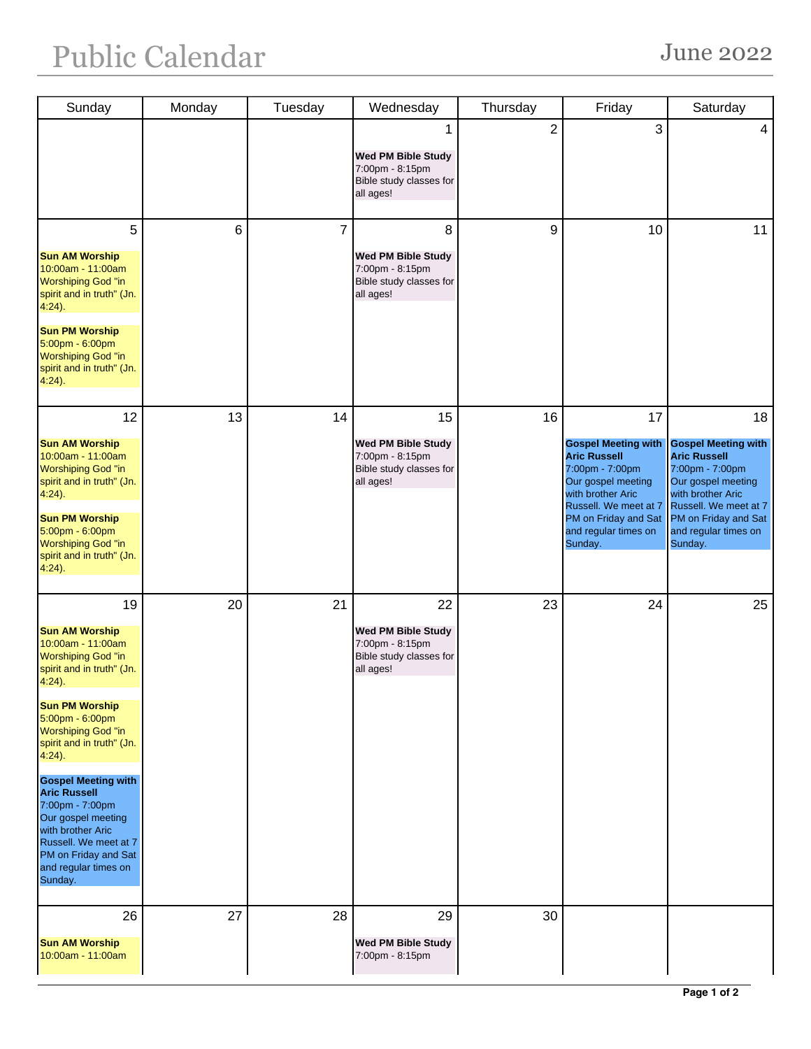| Sunday                                                                                                                                                                                                                                                                                                                                                                                                                                            | Monday | Tuesday        | Wednesday                                                                                  | Thursday       | Friday                                                                                                                                                                                                    | Saturday                                                                                                                                                                                                  |
|---------------------------------------------------------------------------------------------------------------------------------------------------------------------------------------------------------------------------------------------------------------------------------------------------------------------------------------------------------------------------------------------------------------------------------------------------|--------|----------------|--------------------------------------------------------------------------------------------|----------------|-----------------------------------------------------------------------------------------------------------------------------------------------------------------------------------------------------------|-----------------------------------------------------------------------------------------------------------------------------------------------------------------------------------------------------------|
|                                                                                                                                                                                                                                                                                                                                                                                                                                                   |        |                | 1<br>Wed PM Bible Study<br>7:00pm - 8:15pm<br>Bible study classes for<br>all ages!         | $\overline{2}$ | 3                                                                                                                                                                                                         | 4                                                                                                                                                                                                         |
| 5<br><b>Sun AM Worship</b><br>10:00am - 11:00am<br><b>Worshiping God "in</b><br>spirit and in truth" (Jn.<br>$4:24$ ).<br><b>Sun PM Worship</b><br>5:00pm - 6:00pm<br><b>Worshiping God "in</b><br>spirit and in truth" (Jn.<br>$4:24$ ).                                                                                                                                                                                                         | 6      | $\overline{7}$ | 8<br>Wed PM Bible Study<br>7:00pm - 8:15pm<br>Bible study classes for<br>all ages!         | 9              | 10                                                                                                                                                                                                        | 11                                                                                                                                                                                                        |
| 12<br><b>Sun AM Worship</b><br>10:00am - 11:00am<br><b>Worshiping God "in</b><br>spirit and in truth" (Jn.<br>$4:24$ ).<br><b>Sun PM Worship</b><br>5:00pm - 6:00pm<br><b>Worshiping God "in</b><br>spirit and in truth" (Jn.<br>$4:24$ ).                                                                                                                                                                                                        | 13     | 14             | 15<br><b>Wed PM Bible Study</b><br>7:00pm - 8:15pm<br>Bible study classes for<br>all ages! | 16             | 17<br><b>Gospel Meeting with</b><br><b>Aric Russell</b><br>7:00pm - 7:00pm<br>Our gospel meeting<br>with brother Aric<br>Russell. We meet at 7<br>PM on Friday and Sat<br>and regular times on<br>Sunday. | 18<br><b>Gospel Meeting with</b><br><b>Aric Russell</b><br>7:00pm - 7:00pm<br>Our gospel meeting<br>with brother Aric<br>Russell. We meet at 7<br>PM on Friday and Sat<br>and regular times on<br>Sunday. |
| 19<br><b>Sun AM Worship</b><br>10:00am - 11:00am<br><b>Worshiping God "in</b><br>spirit and in truth" (Jn.<br>$4:24$ ).<br><b>Sun PM Worship</b><br>5:00pm - 6:00pm<br><b>Worshiping God "in</b><br>spirit and in truth" (Jn.<br>$4:24$ ).<br><b>Gospel Meeting with</b><br><b>Aric Russell</b><br>7:00pm - 7:00pm<br>Our gospel meeting<br>with brother Aric<br>Russell. We meet at 7<br>PM on Friday and Sat<br>and regular times on<br>Sunday. | 20     | 21             | 22<br>Wed PM Bible Study<br>7:00pm - 8:15pm<br>Bible study classes for<br>all ages!        | 23             | 24                                                                                                                                                                                                        | 25                                                                                                                                                                                                        |
| 26<br><b>Sun AM Worship</b><br>10:00am - 11:00am                                                                                                                                                                                                                                                                                                                                                                                                  | 27     | 28             | 29<br><b>Wed PM Bible Study</b><br>7:00pm - 8:15pm                                         | 30             |                                                                                                                                                                                                           |                                                                                                                                                                                                           |